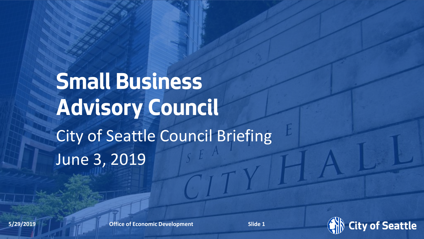# **Small Business Advisory Council** City of Seattle Council Briefing June 3, 2019

Date (xx/xx/ **5/29/2019**xxxx) Department Name **Office of Economic Development Office of Economic Development** Page Number **Slide Slide 11**

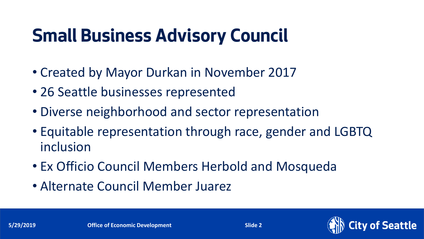## **Small Business Advisory Council**

- Created by Mayor Durkan in November 2017
- 26 Seattle businesses represented
- Diverse neighborhood and sector representation
- Equitable representation through race, gender and LGBTQ inclusion
- Ex Officio Council Members Herbold and Mosqueda
- Alternate Council Member Juarez

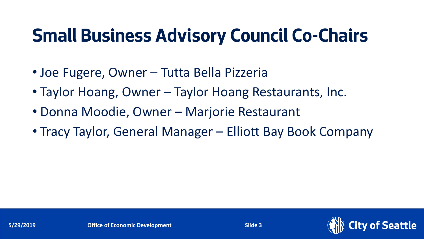### **Small Business Advisory Council Co-Chairs**

- Joe Fugere, Owner Tutta Bella Pizzeria
- Taylor Hoang, Owner Taylor Hoang Restaurants, Inc.
- Donna Moodie, Owner Marjorie Restaurant
- Tracy Taylor, General Manager Elliott Bay Book Company

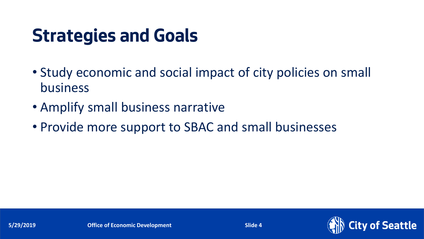### **Strategies and Goals**

- Study economic and social impact of city policies on small business
- Amplify small business narrative
- Provide more support to SBAC and small businesses

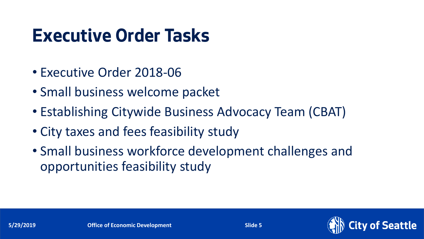#### **Executive Order Tasks**

- Executive Order 2018-06
- Small business welcome packet
- Establishing Citywide Business Advocacy Team (CBAT)
- City taxes and fees feasibility study
- Small business workforce development challenges and opportunities feasibility study